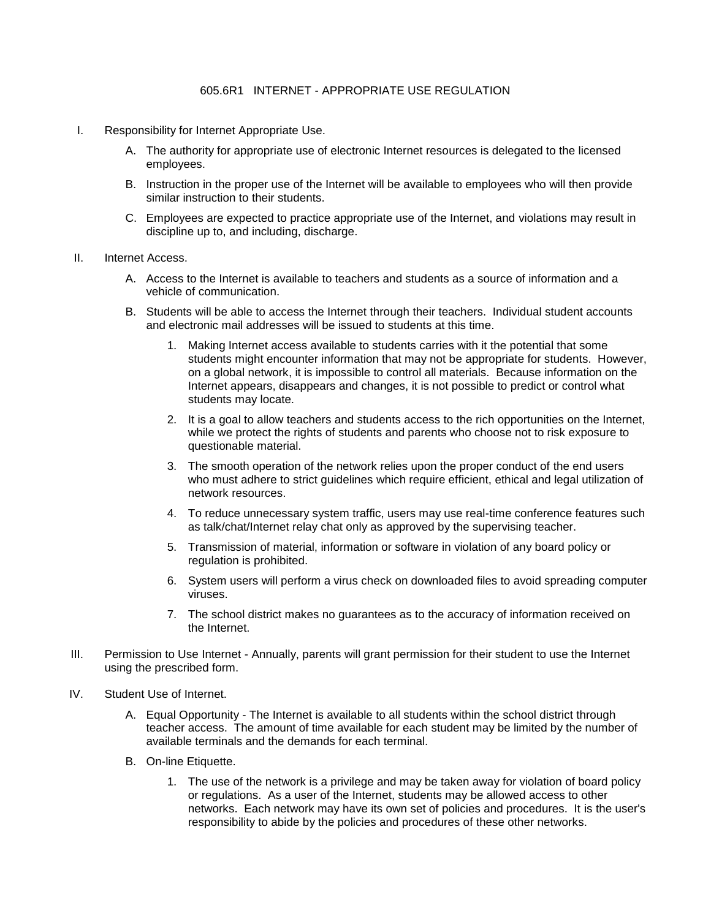- I. Responsibility for Internet Appropriate Use.
	- A. The authority for appropriate use of electronic Internet resources is delegated to the licensed employees.
	- B. Instruction in the proper use of the Internet will be available to employees who will then provide similar instruction to their students.
	- C. Employees are expected to practice appropriate use of the Internet, and violations may result in discipline up to, and including, discharge.
- II. Internet Access.
	- A. Access to the Internet is available to teachers and students as a source of information and a vehicle of communication.
	- B. Students will be able to access the Internet through their teachers. Individual student accounts and electronic mail addresses will be issued to students at this time.
		- 1. Making Internet access available to students carries with it the potential that some students might encounter information that may not be appropriate for students. However, on a global network, it is impossible to control all materials. Because information on the Internet appears, disappears and changes, it is not possible to predict or control what students may locate.
		- 2. It is a goal to allow teachers and students access to the rich opportunities on the Internet, while we protect the rights of students and parents who choose not to risk exposure to questionable material.
		- 3. The smooth operation of the network relies upon the proper conduct of the end users who must adhere to strict guidelines which require efficient, ethical and legal utilization of network resources.
		- 4. To reduce unnecessary system traffic, users may use real-time conference features such as talk/chat/Internet relay chat only as approved by the supervising teacher.
		- 5. Transmission of material, information or software in violation of any board policy or regulation is prohibited.
		- 6. System users will perform a virus check on downloaded files to avoid spreading computer viruses.
		- 7. The school district makes no guarantees as to the accuracy of information received on the Internet.
- III. Permission to Use Internet Annually, parents will grant permission for their student to use the Internet using the prescribed form.
- IV. Student Use of Internet.
	- A. Equal Opportunity The Internet is available to all students within the school district through teacher access. The amount of time available for each student may be limited by the number of available terminals and the demands for each terminal.
	- B. On-line Etiquette.
		- 1. The use of the network is a privilege and may be taken away for violation of board policy or regulations. As a user of the Internet, students may be allowed access to other networks. Each network may have its own set of policies and procedures. It is the user's responsibility to abide by the policies and procedures of these other networks.